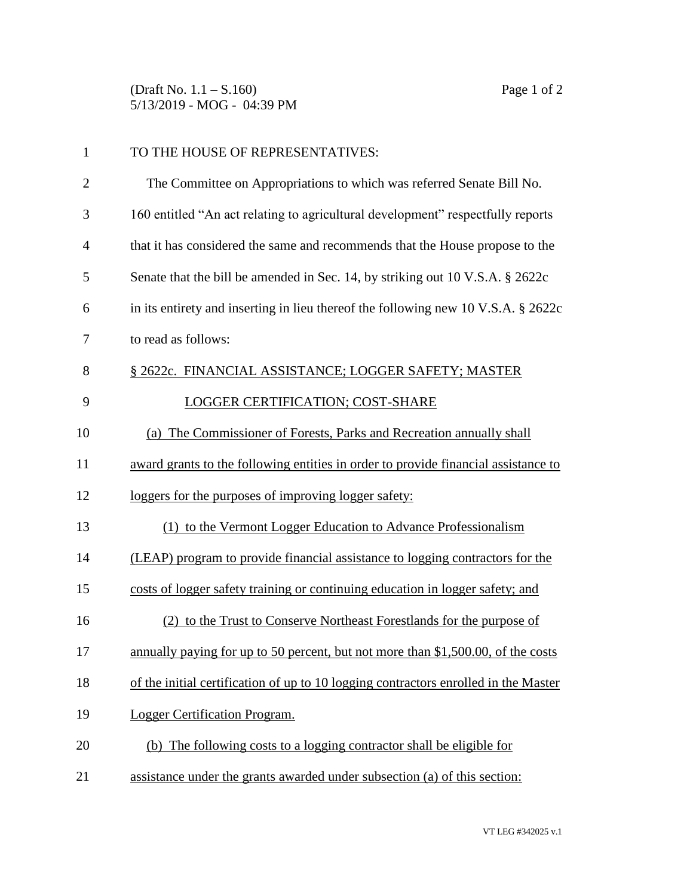(Draft No. 1.1 – S.160) Page 1 of 2 5/13/2019 - MOG - 04:39 PM

| $\mathbf{1}$   | TO THE HOUSE OF REPRESENTATIVES:                                                     |
|----------------|--------------------------------------------------------------------------------------|
| $\overline{2}$ | The Committee on Appropriations to which was referred Senate Bill No.                |
| 3              | 160 entitled "An act relating to agricultural development" respectfully reports      |
| $\overline{4}$ | that it has considered the same and recommends that the House propose to the         |
| 5              | Senate that the bill be amended in Sec. 14, by striking out 10 V.S.A. § 2622c        |
| 6              | in its entirety and inserting in lieu thereof the following new 10 V.S.A. $\S$ 2622c |
| 7              | to read as follows:                                                                  |
| 8              | § 2622c. FINANCIAL ASSISTANCE; LOGGER SAFETY; MASTER                                 |
| 9              | <b>LOGGER CERTIFICATION; COST-SHARE</b>                                              |
| 10             | (a) The Commissioner of Forests, Parks and Recreation annually shall                 |
| 11             | award grants to the following entities in order to provide financial assistance to   |
| 12             | loggers for the purposes of improving logger safety:                                 |
| 13             | (1) to the Vermont Logger Education to Advance Professionalism                       |
| 14             | (LEAP) program to provide financial assistance to logging contractors for the        |
| 15             | costs of logger safety training or continuing education in logger safety; and        |
| 16             | (2) to the Trust to Conserve Northeast Forestlands for the purpose of                |
| 17             | annually paying for up to 50 percent, but not more than \$1,500.00, of the costs     |
| 18             | of the initial certification of up to 10 logging contractors enrolled in the Master  |
| 19             | Logger Certification Program.                                                        |
| 20             | (b) The following costs to a logging contractor shall be eligible for                |
| 21             | assistance under the grants awarded under subsection (a) of this section:            |